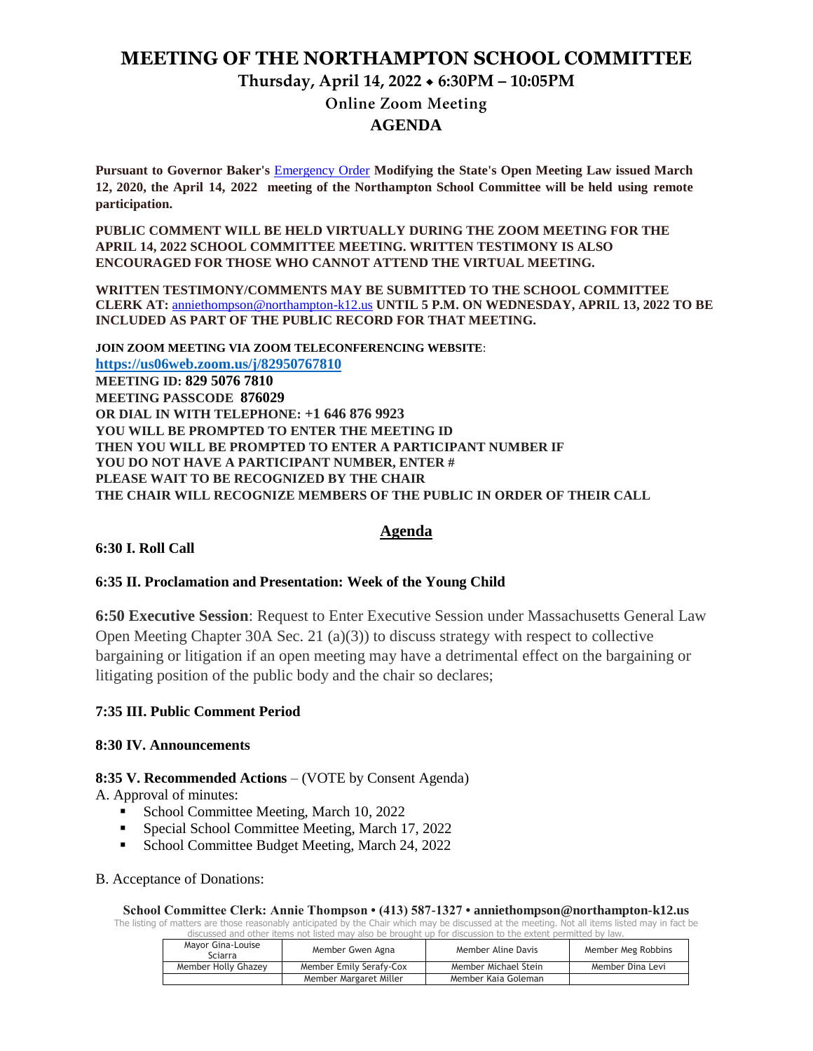# **MEETING OF THE NORTHAMPTON SCHOOL COMMITTEE**

# **Thursday, April 14, 2022 6:30PM – 10:05PM**

**Online Zoom Meeting** 

## **AGENDA**

**Pursuant to Governor Baker's** [Emergency Order](about:blank) **Modifying the State's Open Meeting Law issued March 12, 2020, the April 14, 2022 meeting of the Northampton School Committee will be held using remote participation.**

**PUBLIC COMMENT WILL BE HELD VIRTUALLY DURING THE ZOOM MEETING FOR THE APRIL 14, 2022 SCHOOL COMMITTEE MEETING. WRITTEN TESTIMONY IS ALSO ENCOURAGED FOR THOSE WHO CANNOT ATTEND THE VIRTUAL MEETING.**

**WRITTEN TESTIMONY/COMMENTS MAY BE SUBMITTED TO THE SCHOOL COMMITTEE CLERK AT:** [anniethompson@northampton-k12.us](about:blank) **UNTIL 5 P.M. ON WEDNESDAY, APRIL 13, 2022 TO BE INCLUDED AS PART OF THE PUBLIC RECORD FOR THAT MEETING.**

**JOIN ZOOM MEETING VIA ZOOM TELECONFERENCING WEBSITE**: **<https://us06web.zoom.us/j/82950767810> MEETING ID: 829 5076 7810 MEETING PASSCODE 876029 OR DIAL IN WITH TELEPHONE: +1 646 876 9923 YOU WILL BE PROMPTED TO ENTER THE MEETING ID THEN YOU WILL BE PROMPTED TO ENTER A PARTICIPANT NUMBER IF YOU DO NOT HAVE A PARTICIPANT NUMBER, ENTER # PLEASE WAIT TO BE RECOGNIZED BY THE CHAIR THE CHAIR WILL RECOGNIZE MEMBERS OF THE PUBLIC IN ORDER OF THEIR CALL**

## **Agenda**

#### **6:30 I. Roll Call**

#### **6:35 II. Proclamation and Presentation: Week of the Young Child**

**6:50 Executive Session**: Request to Enter Executive Session under Massachusetts General Law Open Meeting Chapter 30A Sec. 21 (a)(3)) to discuss strategy with respect to collective bargaining or litigation if an open meeting may have a detrimental effect on the bargaining or litigating position of the public body and the chair so declares;

#### **7:35 III. Public Comment Period**

#### **8:30 IV. Announcements**

#### **8:35 V. Recommended Actions** – (VOTE by Consent Agenda)

A. Approval of minutes:

- School Committee Meeting, March 10, 2022
- Special School Committee Meeting, March 17, 2022
- School Committee Budget Meeting, March 24, 2022
- B. Acceptance of Donations:

**School Committee Clerk: Annie Thompson • (413) 587-1327 • anniethompson@northampton-k12.us** The listing of matters are those reasonably anticipated by the Chair which may be discussed at the meeting. Not all items listed may in fact be

discussed and other items not listed may also be brought up for discussion to the extent permitted by law.

| Mavor Gina-Louise<br>Sciarra | Member Gwen Agna        | Member Aline Davis   | Member Meg Robbins |
|------------------------------|-------------------------|----------------------|--------------------|
| Member Holly Ghazey          | Member Emily Serafy-Cox | Member Michael Stein | Member Dina Levi   |
|                              | Member Margaret Miller  | Member Kaia Goleman  |                    |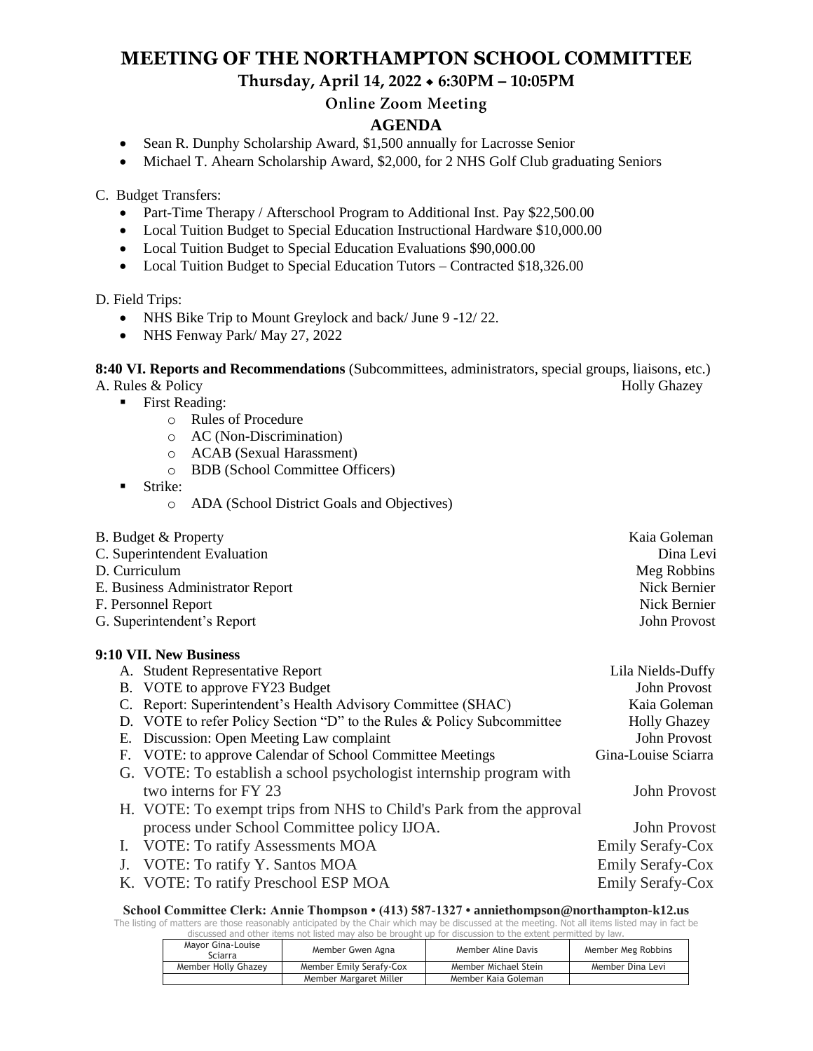# **MEETING OF THE NORTHAMPTON SCHOOL COMMITTEE**

**Thursday, April 14, 2022 6:30PM – 10:05PM**

# **Online Zoom Meeting**

# **AGENDA**

- Sean R. Dunphy Scholarship Award, \$1,500 annually for Lacrosse Senior
- Michael T. Ahearn Scholarship Award, \$2,000, for 2 NHS Golf Club graduating Seniors

C. Budget Transfers:

- Part-Time Therapy / Afterschool Program to Additional Inst. Pay \$22,500.00
- Local Tuition Budget to Special Education Instructional Hardware \$10,000.00
- Local Tuition Budget to Special Education Evaluations \$90,000.00
- Local Tuition Budget to Special Education Tutors Contracted \$18,326.00

D. Field Trips:

- NHS Bike Trip to Mount Greylock and back/ June 9 -12/22.
- NHS Fenway Park/ May 27, 2022

**8:40 VI. Reports and Recommendations** (Subcommittees, administrators, special groups, liaisons, etc.) A. Rules & Policy Holly Ghazey

- First Reading:
	- o Rules of Procedure
	- o AC (Non-Discrimination)
	- o ACAB (Sexual Harassment)
	- o BDB (School Committee Officers)
- **Strike:** 
	- o ADA (School District Goals and Objectives)

| B. Budget & Property             | Kaia Goleman |
|----------------------------------|--------------|
| C. Superintendent Evaluation     | Dina Levi    |
| D. Curriculum                    | Meg Robbins  |
| E. Business Administrator Report | Nick Bernier |
| F. Personnel Report              | Nick Bernier |
| G. Superintendent's Report       | John Provost |
| 9:10 VII. New Business           |              |

| A. Student Representative Report                                       | Lila Nields-Duffy       |
|------------------------------------------------------------------------|-------------------------|
| B. VOTE to approve FY23 Budget                                         | John Provost            |
| C. Report: Superintendent's Health Advisory Committee (SHAC)           | Kaia Goleman            |
| D. VOTE to refer Policy Section "D" to the Rules & Policy Subcommittee | <b>Holly Ghazey</b>     |
| E. Discussion: Open Meeting Law complaint                              | John Provost            |
| F. VOTE: to approve Calendar of School Committee Meetings              | Gina-Louise Sciarra     |
| G. VOTE: To establish a school psychologist internship program with    |                         |
| two interns for FY 23                                                  | John Provost            |
| H. VOTE: To exempt trips from NHS to Child's Park from the approval    |                         |
| process under School Committee policy IJOA.                            | John Provost            |
| <b>VOTE: To ratify Assessments MOA</b>                                 | <b>Emily Serafy-Cox</b> |
| VOTE: To ratify Y. Santos MOA                                          | <b>Emily Serafy-Cox</b> |
| K. VOTE: To ratify Preschool ESP MOA                                   | <b>Emily Serafy-Cox</b> |

**School Committee Clerk: Annie Thompson • (413) 587-1327 • anniethompson@northampton-k12.us**

The listing of matters are those reasonably anticipated by the Chair which may be discussed at the meeting. Not all items listed may in fact be discussed and other items not listed may also be brought up for discussion to the extent permitted by law.

| Mayor Gina-Louise<br>Sciarra | Member Gwen Agna        | Member Aline Davis   | Member Meg Robbins |
|------------------------------|-------------------------|----------------------|--------------------|
| Member Holly Ghazey          | Member Emily Serafy-Cox | Member Michael Stein | Member Dina Levi   |
|                              | Member Margaret Miller  | Member Kaia Goleman  |                    |